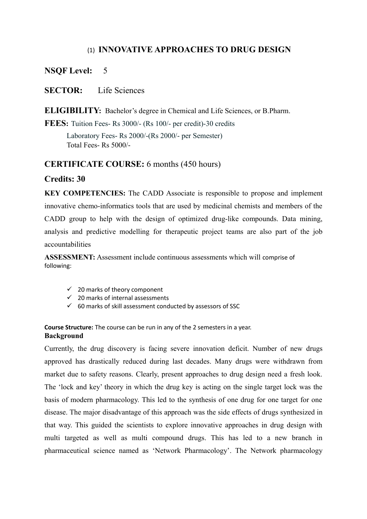# (1) **INNOVATIVE APPROACHES TO DRUG DESIGN**

# **NSQF Level:** 5

# **SECTOR:** Life Sciences

**ELIGIBILITY:** Bachelor's degree in Chemical and Life Sciences, or B.Pharm.

**FEES:** Tuition Fees- Rs 3000/- (Rs 100/- per credit)-30 credits

Laboratory Fees- Rs 2000/-(Rs 2000/- per Semester) Total Fees- Rs 5000/-

## **CERTIFICATE COURSE:** 6 months (450 hours)

## **Credits: 30**

**KEY COMPETENCIES:** The CADD Associate is responsible to propose and implement innovative chemo-informatics tools that are used by medicinal chemists and members of the CADD group to help with the design of optimized drug-like compounds. Data mining, analysis and predictive modelling for therapeutic project teams are also part of the job accountabilities

**ASSESSMENT:** Assessment include continuous assessments which will comprise of following:

- $\checkmark$  20 marks of theory component
- $\checkmark$  20 marks of internal assessments
- $60$  marks of skill assessment conducted by assessors of SSC

**Course Structure:** The course can be run in any of the 2 semesters in a year. **Background**

Currently, the drug discovery is facing severe innovation deficit. Number of new drugs approved has drastically reduced during last decades. Many drugs were withdrawn from market due to safety reasons. Clearly, present approaches to drug design need a fresh look. The 'lock and key' theory in which the drug key is acting on the single target lock was the basis of modern pharmacology. This led to the synthesis of one drug for one target for one disease. The major disadvantage of this approach was the side effects of drugs synthesized in that way. This guided the scientists to explore innovative approaches in drug design with multi targeted as well as multi compound drugs. This has led to a new branch in pharmaceutical science named as 'Network Pharmacology'. The Network pharmacology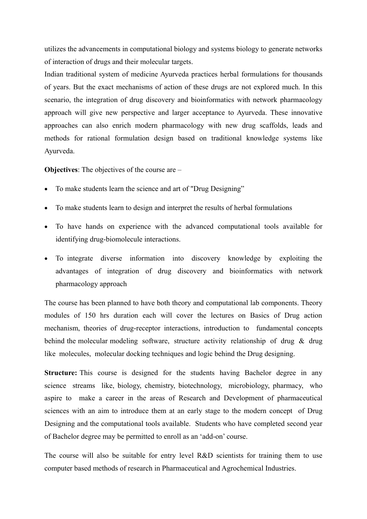utilizes the advancements in computational biology and systems biology to generate networks of interaction of drugs and their molecular targets.

Indian traditional system of medicine Ayurveda practices herbal formulations for thousands of years. But the exact mechanisms of action of these drugs are not explored much. In this scenario, the integration of drug discovery and bioinformatics with network pharmacology approach will give new perspective and larger acceptance to Ayurveda. These innovative approaches can also enrich modern pharmacology with new drug scaffolds, leads and methods for rational formulation design based on traditional knowledge systems like Ayurveda.

**Objectives**: The objectives of the course are –

- To make students learn the science and art of "Drug Designing"
- To make students learn to design and interpret the results of herbal formulations
- To have hands on experience with the advanced computational tools available for identifying drug-biomolecule interactions.
- To integrate diverse information into discovery knowledge by exploiting the advantages of integration of drug discovery and bioinformatics with network pharmacology approach

The course has been planned to have both theory and computational lab components. Theory modules of 150 hrs duration each will cover the lectures on Basics of Drug action mechanism, theories of drug-receptor interactions, introduction to fundamental concepts behind the molecular modeling software, structure activity relationship of drug & drug like molecules, molecular docking techniques and logic behind the Drug designing.

**Structure:** This course is designed for the students having Bachelor degree in any science streams like, biology, chemistry, biotechnology, microbiology, pharmacy, who aspire to make a career in the areas of Research and Development of pharmaceutical sciences with an aim to introduce them at an early stage to the modern concept of Drug Designing and the computational tools available. Students who have completed second year of Bachelor degree may be permitted to enroll as an 'add-on' course.

The course will also be suitable for entry level R&D scientists for training them to use computer based methods of research in Pharmaceutical and Agrochemical Industries.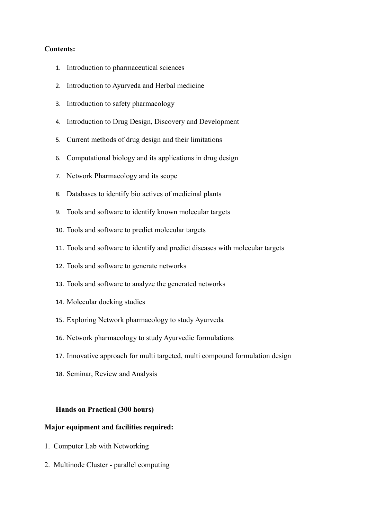#### **Contents:**

- 1. Introduction to pharmaceutical sciences
- 2. Introduction to Ayurveda and Herbal medicine
- 3. Introduction to safety pharmacology
- 4. Introduction to Drug Design, Discovery and Development
- 5. Current methods of drug design and their limitations
- 6. Computational biology and its applications in drug design
- 7. Network Pharmacology and its scope
- 8. Databases to identify bio actives of medicinal plants
- 9. Tools and software to identify known molecular targets
- 10. Tools and software to predict molecular targets
- 11. Tools and software to identify and predict diseases with molecular targets
- 12. Tools and software to generate networks
- 13. Tools and software to analyze the generated networks
- 14. Molecular docking studies
- 15. Exploring Network pharmacology to study Ayurveda
- 16. Network pharmacology to study Ayurvedic formulations
- 17. Innovative approach for multi targeted, multi compound formulation design
- 18. Seminar, Review and Analysis

### **Hands on Practical (300 hours)**

#### **Major equipment and facilities required:**

- 1. Computer Lab with Networking
- 2. Multinode Cluster parallel computing